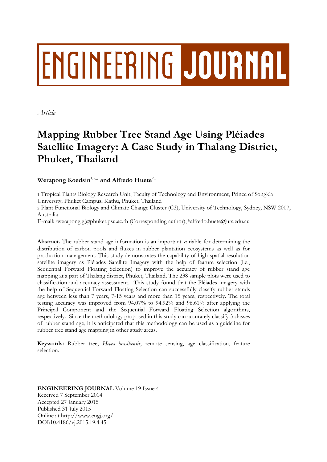# **ENGINEERING JOURNAL**

*Article*

# **Mapping Rubber Tree Stand Age Using Pléiades Satellite Imagery: A Case Study in Thalang District, Phuket, Thailand**

Werapong Koedsin<sup>1,a,\*</sup> and Alfredo Huete<sup>2,b</sup>

1 Tropical Plants Biology Research Unit, Faculty of Technology and Environment, Prince of Songkla University, Phuket Campus, Kathu, Phuket, Thailand

2 Plant Functional Biology and Climate Change Cluster (C3), University of Technology, Sydney, NSW 2007, Australia

E-mail: <sup>a</sup>werapong.g@phuket.psu.ac.th (Corresponding author), <sup>b</sup>alfredo.huete@uts.edu.au

**Abstract.** The rubber stand age information is an important variable for determining the distribution of carbon pools and fluxes in rubber plantation ecosystems as well as for production management. This study demonstrates the capability of high spatial resolution satellite imagery as Pléiades Satellite Imagery with the help of feature selection (i.e., Sequential Forward Floating Selection) to improve the accuracy of rubber stand age mapping at a part of Thalang district, Phuket, Thailand. The 238 sample plots were used to classification and accuracy assessment. This study found that the Pléiades imagery with the help of Sequential Forward Floating Selection can successfully classify rubber stands age between less than 7 years, 7-15 years and more than 15 years, respectively. The total testing accuracy was improved from 94.07% to 94.92% and 96.61% after applying the Principal Component and the Sequential Forward Floating Selection algorithms, respectively. Since the methodology proposed in this study can accurately classify 3 classes of rubber stand age, it is anticipated that this methodology can be used as a guideline for rubber tree stand age mapping in other study areas.

**Keywords:** Rubber tree, *Hevea brasiliensis*, remote sensing, age classification, feature selection.

**ENGINEERING JOURNAL** Volume 19 Issue 4 Received 7 September 2014 Accepted 27 January 2015 Published 31 July 2015 Online at http://www.engj.org/ DOI:10.4186/ej.2015.19.4.45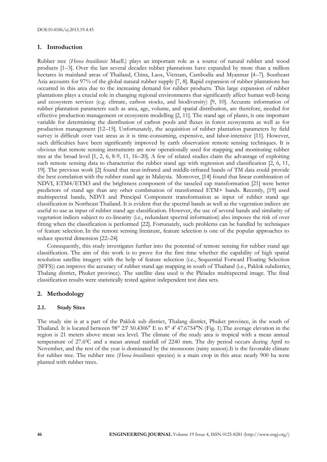#### **1. Introduction**

Rubber tree (*Hevea brasiliensis* Muell.) plays an important role as a source of natural rubber and wood products [1–3]. Over the last several decades rubber plantations have expanded by more than a million hectares in mainland areas of Thailand, China, Laos, Vietnam, Cambodia and Myanmar [4–7]. Southeast Asia accounts for 97% of the global natural rubber supply [7, 8]. Rapid expansion of rubber plantations has occurred in this area due to the increasing demand for rubber products. This large expansion of rubber plantations plays a crucial role in changing regional environments that significantly affect human well-being and ecosystem services (e.g. climate, carbon stocks, and biodiversity) [9, 10]. Accurate information of rubber plantation parameters such as area, age, volume, and spatial distribution, are therefore, needed for effective production management or ecosystem modelling [2, 11]. The stand age of plants, is one important variable for determining the distribution of carbon pools and fluxes in forest ecosystems as well as for production management [12–15]. Unfortunately, the acquisition of rubber plantation parameters by field survey is difficult over vast areas as it is time-consuming, expensive, and labor-intensive [11]. However, such difficulties have been significantly improved by earth observation remote sensing techniques. It is obvious that remote sensing instruments are now operationally used for mapping and monitoring rubber tree at the broad level [1, 2, 6, 8-9, 11, 16–20]. A few of related studies claim the advantage of exploiting such remote sensing data to characterize the rubber stand age with regression and classification [2, 6, 11, 19]. The previous work [2] found that near-infrared and middle-infrared bands of TM data could provide the best correlation with the rubber stand age in Malaysia. Moreover, [14] found that linear combination of NDVI, ETM4/ETM3 and the brightness component of the tasseled cap transformation [21] were better predictors of stand age than any other combination of transformed ETM+ bands. Recently, [19] used multispectral bands, NDVI and Principal Component transformation as input of rubber stand age classification in Northeast Thailand. It is evident that the spectral bands as well as the vegetation indices are useful to use as input of rubber stand age classification. However, the use of several bands and similarity of vegetation indices subject to co-linearity (i.e., redundant spectral information) also imposes the risk of over fitting when the classification is performed [22]. Fortunately, such problems can be handled by techniques of feature selection. In the remote sensing literature, feature selection is one of the popular approaches to reduce spectral dimension [22–24].

Consequently, this study investigates further into the potential of remote sensing for rubber stand age classification. The aim of this work is to prove for the first time whether the capability of high spatial resolution satellite imagery with the help of feature selection (i.e., Sequential Forward Floating Selection (SFFS)) can improve the accuracy of rubber stand age mapping in south of Thailand (i.e., Paklok subdistrict, Thalang district, Phuket province). The satellite data used is the Pléiades multispectral image. The final classification results were statistically tested against independent test data sets.

# **2. Methodology**

#### **2.1. Study Sites**

The study site is at a part of the Paklok sub district, Thalang district, Phuket province, in the south of Thailand. It is located between 98° 23' 50.4306" E to 8° 4' 47.6754"N (Fig. 1).The average elevation in the region is 21 meters above mean sea level. The climate of the study area is tropical with a mean annual temperature of 27.60C and a mean annual rainfall of 2240 mm. The dry period occurs during April to November, and the rest of the year is dominated by the monsoons (rainy season).It is the favorable climate for rubber tree. The rubber tree (*Hevea brasiliensis* species) is a main crop in this area: nearly 900 ha were planted with rubber trees.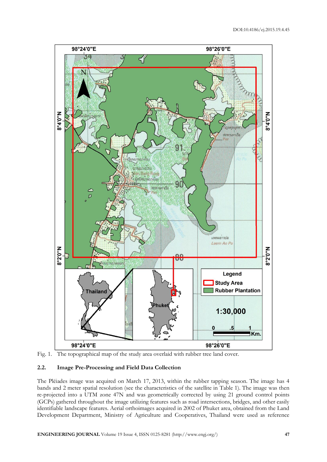



# **2.2. Image Pre-Processing and Field Data Collection**

The Pléiades image was acquired on March 17, 2013, within the rubber tapping season. The image has 4 bands and 2 meter spatial resolution (see the characteristics of the satellite in Table 1). The image was then re-projected into a UTM zone 47N and was geometrically corrected by using 21 ground control points (GCPs) gathered throughout the image utilizing features such as road intersections, bridges, and other easily identifiable landscape features. Aerial orthoimages acquired in 2002 of Phuket area, obtained from the Land Development Department, Ministry of Agriculture and Cooperatives, Thailand were used as reference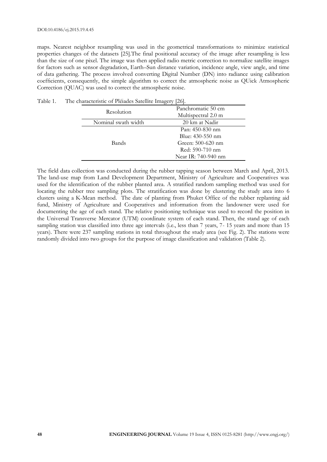maps. Nearest neighbor resampling was used in the geometrical transformations to minimize statistical properties changes of the datasets [25].The final positional accuracy of the image after resampling is less than the size of one pixel. The image was then applied radio metric correction to normalize satellite images for factors such as sensor degradation, Earth–Sun distance variation, incidence angle, view angle, and time of data gathering. The process involved converting Digital Number (DN) into radiance using calibration coefficients, consequently, the simple algorithm to correct the atmospheric noise as QUick Atmospheric Correction (QUAC) was used to correct the atmospheric noise.

| $\frac{1}{2}$       |                     |  |  |
|---------------------|---------------------|--|--|
| Resolution          | Panchromatic 50 cm  |  |  |
|                     | Multispectral 2.0 m |  |  |
| Nominal swath width | 20 km at Nadir      |  |  |
|                     | Pan: 450-830 nm     |  |  |
|                     | Blue: 430-550 nm    |  |  |
| Bands               | Green: 500-620 nm   |  |  |
|                     | Red: 590-710 nm     |  |  |
|                     | Near IR: 740-940 nm |  |  |
|                     |                     |  |  |

Table 1. The characteristic of Pléiades Satellite Imagery [26].

The field data collection was conducted during the rubber tapping season between March and April, 2013. The land-use map from Land Development Department, Ministry of Agriculture and Cooperatives was used for the identification of the rubber planted area. A stratified random sampling method was used for locating the rubber tree sampling plots. The stratification was done by clustering the study area into 6 clusters using a K-Mean method. The date of planting from Phuket Office of the rubber replanting aid fund, Ministry of Agriculture and Cooperatives and information from the landowner were used for documenting the age of each stand. The relative positioning technique was used to record the position in the Universal Transverse Mercator (UTM) coordinate system of each stand. Then, the stand age of each sampling station was classified into three age intervals (i.e., less than 7 years, 7- 15 years and more than 15 years). There were 237 sampling stations in total throughout the study area (see Fig. 2). The stations were randomly divided into two groups for the purpose of image classification and validation (Table 2).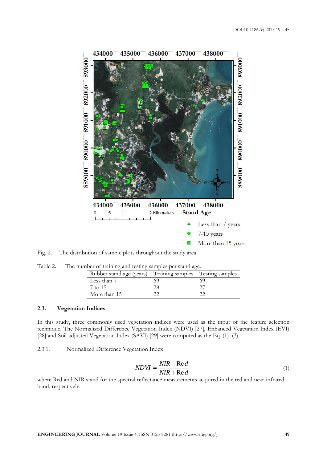

Fig. 2. The distribution of sample plots throughout the study area.

| Table 2. | The number of training and testing samples per stand age. |  |  |
|----------|-----------------------------------------------------------|--|--|
|          |                                                           |  |  |

| Rubber stand age (years) Training samples Testing samples |  |
|-----------------------------------------------------------|--|
| Less than 7                                               |  |
| 7 to 15                                                   |  |
| More than 15                                              |  |

### **2.3. Vegetation Indices**

In this study, three commonly used vegetation indices were used as the input of the feature selection technique. The Normalized Difference Vegetation Index (NDVI) [27], Enhanced Vegetation Index (EVI) [28] and Soil-adjusted Vegetation Index (SAVI) [29] were computed as the Eq. (1)–(3).

2.3.1. Normalized Difference Vegetation Index

$$
NDVI = \frac{NIR - \text{Re } d}{NIR + \text{Re } d}
$$
\n<sup>(1)</sup>

where Red and NIR stand for the spectral reflectance measurements acquired in the red and near-infrared band, respectively.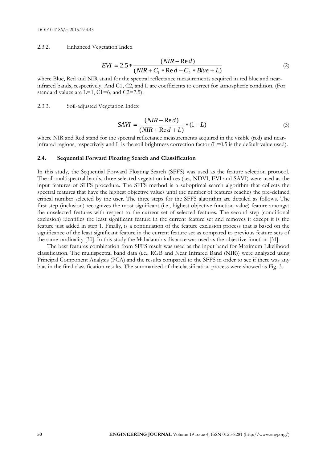2.3.2. Enhanced Vegetation Index

$$
EVI = 2.5 * \frac{(NIR - \text{Re } d)}{(NIR + C_1 * \text{Re } d - C_2 * Blue + L)}
$$
(2)

where Blue, Red and NIR stand for the spectral reflectance measurements acquired in red blue and nearinfrared bands, respectively. And C1, C2, and L are coefficients to correct for atmospheric condition. (For standard values are  $L=1$ ,  $C1=6$ , and  $C2=7.5$ ).

2.3.3. Soil-adjusted Vegetation Index

$$
SAVI = \frac{(NIR - Red)}{(NIR + Red + L)} * (1 + L)
$$
\n(3)

where NIR and Red stand for the spectral reflectance measurements acquired in the visible (red) and nearinfrared regions, respectively and L is the soil brightness correction factor  $(L=0.5$  is the default value used).

#### **2.4. Sequential Forward Floating Search and Classification**

In this study, the Sequential Forward Floating Search (SFFS) was used as the feature selection protocol. The all multispectral bands, three selected vegetation indices (i.e., NDVI, EVI and SAVI) were used as the input features of SFFS procedure. The SFFS method is a suboptimal search algorithm that collects the spectral features that have the highest objective values until the number of features reaches the pre-defined critical number selected by the user. The three steps for the SFFS algorithm are detailed as follows. The first step (inclusion) recognizes the most significant (i.e., highest objective function value) feature amongst the unselected features with respect to the current set of selected features. The second step (conditional exclusion) identifies the least significant feature in the current feature set and removes it except it is the feature just added in step 1. Finally, is a continuation of the feature exclusion process that is based on the significance of the least significant feature in the current feature set as compared to previous feature sets of the same cardinality [30]. In this study the Mahalanobis distance was used as the objective function [31].

The best features combination from SFFS result was used as the input band for Maximum Likelihood classification. The multispectral band data (i.e., RGB and Near Infrared Band (NIR)) were analyzed using Principal Component Analysis (PCA) and the results compared to the SFFS in order to see if there was any bias in the final classification results. The summarized of the classification process were showed as Fig. 3.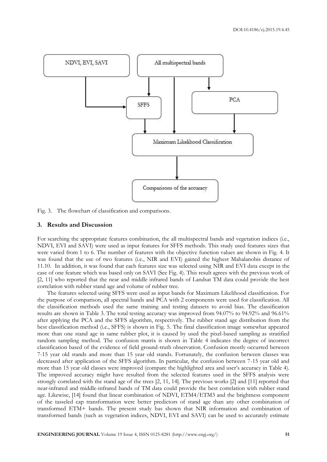

Fig. 3. The flowchart of classification and comparisons.

#### **3. Results and Discussion**

For searching the appropriate features combination, the all multispectral bands and vegetation indices (i.e., NDVI, EVI and SAVI) were used as input features for SFFS methods. This study used features sizes that were varied from 1 to 6. The number of features with the objective function values are shown in Fig. 4. It was found that the use of two features (i.e., NIR and EVI) gained the highest Mahalanobis distance of 11.10. In addition, it was found that each features size was selected using NIR and EVI data except in the case of one feature which was based only on SAVI (See Fig. 4). This result agrees with the previous work of [2, 11] who reported that the near and middle infrared bands of Landsat TM data could provide the best correlation with rubber stand age and volume of rubber tree.

The features selected using SFFS were used as input bands for Maximum Likelihood classification. For the purpose of comparison, all spectral bands and PCA with 2 components were used for classification. All the classification methods used the same training and testing datasets to avoid bias. The classification results are shown in Table 3. The total testing accuracy was improved from 94.07% to 94.92% and 96.61% after applying the PCA and the SFFS algorithm, respectively. The rubber stand age distribution from the best classification method (i.e., SFFS) is shown in Fig. 5. The final classification image somewhat appeared more than one stand age in same rubber plot, it is caused by used the pixel-based sampling as stratified random sampling method. The confusion matrix is shown in Table 4 indicates the degree of incorrect classification based of the evidence of field ground-truth observation. Confusion mostly occurred between 7-15 year old stands and more than 15 year old stands. Fortunately, the confusion between classes was decreased after application of the SFFS algorithm. In particular, the confusion between 7-15 year old and more than 15 year old classes were improved (compare the highlighted area and user's accuracy in Table 4). The improved accuracy might have resulted from the selected features used in the SFFS analysis were strongly correlated with the stand age of the trees [2, 11, 14]. The previous works [2] and [11] reported that near-infrared and middle-infrared bands of TM data could provide the best correlation with rubber stand age. Likewise, [14] found that linear combination of NDVI, ETM4/ETM3 and the brightness component of the tasseled cap transformation were better predictors of stand age than any other combination of transformed ETM+ bands. The present study has shown that NIR information and combination of transformed bands (such as vegetation indices, NDVI, EVI and SAVI) can be used to accurately estimate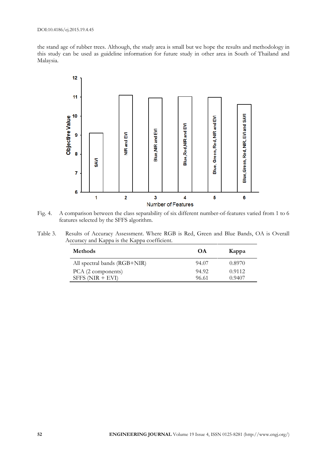the stand age of rubber trees. Although, the study area is small but we hope the results and methodology in this study can be used as guideline information for future study in other area in South of Thailand and Malaysia.



Fig. 4. A comparison between the class separability of six different number-of-features varied from 1 to 6 features selected by the SFFS algorithm.

| Table 3. | Results of Accuracy Assessment. Where RGB is Red, Green and Blue Bands, OA is Overall |
|----------|---------------------------------------------------------------------------------------|
|          | Accuracy and Kappa is the Kappa coefficient.                                          |

| <b>Methods</b>               | OΑ    | Kappa  |
|------------------------------|-------|--------|
| All spectral bands (RGB+NIR) | 94.07 | 0.8970 |
| PCA (2 components)           | 94.92 | 0.9112 |
| $SFFS(NIR + EVI)$            | 96.61 | 0.9407 |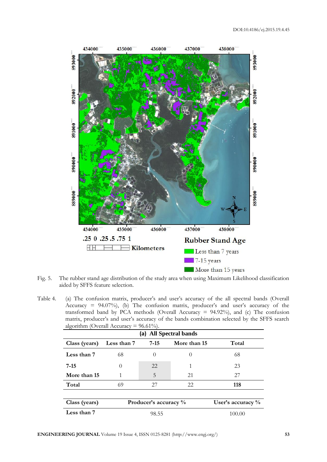

Fig. 5. The rubber stand age distribution of the study area when using Maximum Likelihood classification aided by SFFS feature selection.

Table 4. (a) The confusion matrix, producer's and user's accuracy of the all spectral bands (Overall Accuracy = 94.07%), (b) The confusion matrix, producer's and user's accuracy of the transformed band by PCA methods (Overall Accuracy  $= 94.92\%$ ), and (c) The confusion matrix, producer's and user's accuracy of the bands combination selected by the SFFS search algorithm (Overall Accuracy =  $96.61\%$ ).

|               | $\alpha$ gomumi $\alpha$ veral receivacy<br>70.01701<br>(a) All Spectral bands |                       |              |                      |  |  |
|---------------|--------------------------------------------------------------------------------|-----------------------|--------------|----------------------|--|--|
|               |                                                                                |                       |              |                      |  |  |
| Class (years) | Less than 7                                                                    | $7-15$                | More than 15 | Total                |  |  |
| Less than 7   | 68                                                                             | $\Omega$              | $\Omega$     | 68                   |  |  |
| $7 - 15$      | $\theta$                                                                       | 22                    | 1            | 23                   |  |  |
| More than 15  | 1                                                                              | 5                     | 21           | 27                   |  |  |
| Total         | 69                                                                             | 27                    | 22           | 118                  |  |  |
|               |                                                                                |                       |              |                      |  |  |
| Class (years) |                                                                                | Producer's accuracy % |              | User's accuracy $\%$ |  |  |
| Less than 7   |                                                                                | 98.55                 |              | 100.00               |  |  |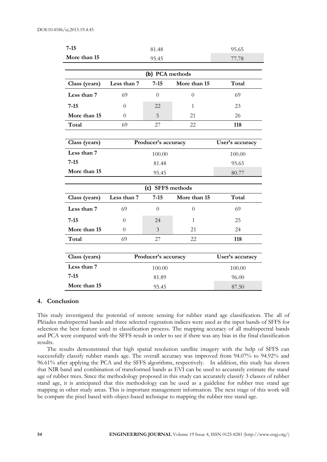| $7 - 15$      |                     | 81.48            |                | 95.65           |
|---------------|---------------------|------------------|----------------|-----------------|
| More than 15  | 95.45               |                  |                | 77.78           |
|               |                     |                  |                |                 |
|               |                     | (b) PCA methods  |                |                 |
| Class (years) | Less than 7         | $7 - 15$         | More than 15   | Total           |
| Less than 7   | 69                  | $\Omega$         | $\theta$       | 69              |
| $7 - 15$      | $\theta$            | 22               | $\mathbf{1}$   | 23              |
| More than 15  | $\theta$            | 5                | 21             | 26              |
| Total         | 69                  | 27               | 22             | 118             |
|               |                     |                  |                |                 |
| Class (years) | Producer's accuracy |                  |                | User's accuracy |
| Less than 7   |                     | 100.00           |                | 100.00          |
| $7 - 15$      | 81.48               |                  |                | 95.65           |
| More than 15  | 95.45               |                  |                | 80.77           |
|               |                     |                  |                |                 |
|               |                     | (c) SFFS methods |                |                 |
| Class (years) | Less than 7         | $7 - 15$         | More than 15   | Total           |
| Less than 7   | 69                  | $\theta$         | $\overline{0}$ | 69              |
| $7 - 15$      | $\theta$            | 24               | $\mathbf{1}$   | 25              |
| More than 15  | $\theta$            | $\mathfrak{Z}$   | 21             | 24              |
| Total         | 69                  | 27               | 22             | 118             |
|               |                     |                  |                |                 |
| Class (years) | Producer's accuracy |                  |                | User's accuracy |
| Less than 7   |                     | 100.00           |                | 100.00          |
| $7 - 15$      | 81.89               |                  |                | 96.00           |
| More than 15  | 95.45               |                  |                |                 |

#### **4. Conclusion**

This study investigated the potential of remote sensing for rubber stand age classification. The all of Pléiades multispectral bands and three selected vegetation indices were used as the input bands of SFFS for selection the best feature used in classification process. The mapping accuracy of all multispectral bands and PCA were compared with the SFFS result in order to see if there was any bias in the final classification results.

The results demonstrated that high spatial resolution satellite imagery with the help of SFFS can successfully classify rubber stands age. The overall accuracy was improved from 94.07% to 94.92% and 96.61% after applying the PCA and the SFFS algorithms, respectively. In addition, this study has shown that NIR band and combination of transformed bands as EVI can be used to accurately estimate the stand age of rubber trees. Since the methodology proposed in this study can accurately classify 3 classes of rubber stand age, it is anticipated that this methodology can be used as a guideline for rubber tree stand age mapping in other study areas. This is important management information. The next stage of this work will be compare the pixel based with object-based technique to mapping the rubber tree stand age.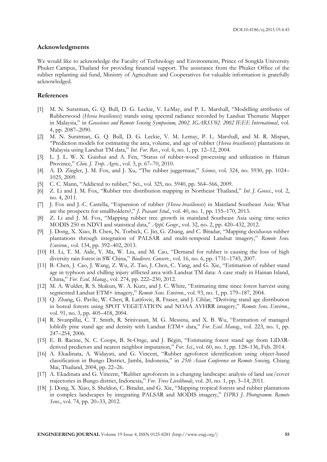#### **Acknowledgments**

We would like to acknowledge the Faculty of Technology and Environment, Prince of Songkla University Phuket Campus, Thailand for providing financial support. The assistance from the Phuket Office of the rubber replanting aid fund, Ministry of Agriculture and Cooperatives for valuable information is gratefully acknowledged.

### **References**

- [1] M. N. Suratman, G. Q. Bull, D. G. Leckie, V. LeMay, and P. L. Marshall, "Modelling attributes of Rubberwood (*Hevea brasiliensis*) stands using spectral radiance recorded by Landsat Thematic Mapper in Malaysia," in *Geoscience and Remote Sensing Symposium, 2002. IGARSS'02. 2002 IEEE International*, vol. 4, pp. 2087–2090.
- [2] M. N. Suratman, G. Q. Bull, D. G. Leckie, V. M. Lemay, P. L. Marshall, and M. R. Mispan, "Prediction models for estimating the area, volume, and age of rubber (*Hevea brasiliensis*) plantations in Malaysia using Landsat TM data," *Int. For. Rev.*, vol. 6, no. 1, pp. 12–12, 2004.
- [3] L. J. L. W. X. Guishui and A. Fen, "Status of rubber-wood processing and utilization in Hainan Province," *Chin. J. Trop. Agric.*, vol. 3, p. 67–70, 2010.
- [4] A. D. Ziegler, J. M. Fox, and J. Xu, "The rubber juggernaut," *Science*, vol. 324, no. 5930, pp. 1024– 1025, 2009.
- [5] C. C. Mann, "Addicted to rubber," Sci., vol. 325, no. 5940, pp. 564–566, 2009.
- [6] Z. Li and J. M. Fox, "Rubber tree distribution mapping in Northeast Thailand," *Int. J. Geosci.*, vol. 2, no. 4, 2011.
- [7] J. Fox and J.-C. Castella, "Expansion of rubber (*Hevea brasiliensis*) in Mainland Southeast Asia: What are the prospects for smallholders?," *J. Peasant Stud.*, vol. 40, no. 1, pp. 155–170, 2013.
- [8] Z. Li and J. M. Fox, "Mapping rubber tree growth in mainland Southeast Asia using time-series MODIS 250 m NDVI and statistical data," *Appl. Geogr.*, vol. 32, no. 2, pp. 420–432, 2012.
- [9] J. Dong, X. Xiao, B. Chen, N. Torbick, C. Jin, G. Zhang, and C. Biradar, "Mapping deciduous rubber plantations through integration of PALSAR and multi-temporal Landsat imagery," *Remote Sens. Environ.*, vol. 134, pp. 392–402, 2013.
- [10] H. Li, T. M. Aide, Y. Ma, W. Liu, and M. Cao, "Demand for rubber is causing the loss of high diversity rain forest in SW China," *Biodivers. Conserv.*, vol. 16, no. 6, pp. 1731–1745, 2007.
- [11] B. Chen, J. Cao, J. Wang, Z. Wu, Z. Tao, J. Chen, C. Yang, and G. Xie, "Estimation of rubber stand age in typhoon and chilling injury afflicted area with Landsat TM data: A case study in Hainan Island, China," *For. Ecol. Manag.*, vol. 274, pp. 222–230, 2012.
- [12] M. A. Wulder, R. S. Skakun, W. A. Kurz, and J. C. White, "Estimating time since forest harvest using segmented Landsat ETM+ imagery," *Remote Sens. Environ.*, vol. 93, no. 1, pp. 179–187, 2004.
- [13] Q. Zhang, G. Pavlic, W. Chen, R. Latifovic, R. Fraser, and J. Cihlar, "Deriving stand age distribution in boreal forests using SPOT VEGETATION and NOAA AVHRR imagery," *Remote Sens. Environ.*, vol. 91, no. 3, pp. 405–418, 2004.
- [14] R. Sivanpillai, C. T. Smith, R. Srinivasan, M. G. Messina, and X. B. Wu, "Estimation of managed loblolly pine stand age and density with Landsat ETM+ data," *For. Ecol. Manag.*, vol. 223, no. 1, pp. 247–254, 2006.
- [15] E. B. Racine, N. C. Coops, B. St-Onge, and J. Bégin, "Estimating forest stand age from LiDARderived predictors and nearest neighbor imputation," *For. Sci.*, vol. 60, no. 1, pp. 128–136, Feb. 2014.
- [16] A. Ekadinata, A. Widayati, and G. Vincent, "Rubber agroforest identification using object-based classification in Bungo District, Jambi, Indonesia," in *25th Asian Conference on Remote Sensing,* Chiang Mai, Thailand, 2004, pp. 22–26.
- [17] A. Ekadinata and G. Vincent, "Rubber agroforests in a changing landscape: analysis of land use/cover trajectories in Bungo district, Indonesia," *For. Trees Livelihoods*, vol. 20, no. 1, pp. 3–14, 2011.
- [18] J. Dong, X. Xiao, S. Sheldon, C. Biradar, and G. Xie, "Mapping tropical forests and rubber plantations in complex landscapes by integrating PALSAR and MODIS imagery," *ISPRS J. Photogramm. Remote Sens.*, vol. 74, pp. 20–33, 2012.